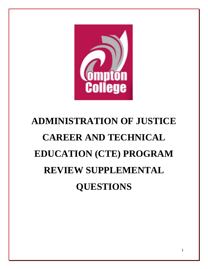

# **ADMINISTRATION OF JUSTICE CAREER AND TECHNICAL EDUCATION (CTE) PROGRAM REVIEW SUPPLEMENTAL QUESTIONS**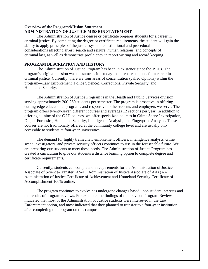#### **Overview of the Program/Mission Statement ADMINISTRATION OF JUSTICE MISSION STATEMENT**

The Administration of Justice degree or certificate prepares students for a career in criminal justice. By completing the degree or certificate requirements, the student will gain the ability to apply principles of the justice system, constitutional and procedural considerations affecting arrest, search and seizure, human relations, and concepts of criminal law, as well as demonstrate proficiency in report writing and record keeping.

## **PROGRAM DESCRIPTION AND HISTORY**

The Administration of Justice Program has been in existence since the 1970s. The program's original mission was the same as it is today---to prepare students for a career in criminal justice. Currently, there are four areas of concentration (called Options) within the program—Law Enforcement (Police Science), Corrections, Private Security, and Homeland Security.

The Administration of Justice Program is in the Health and Public Services division serving approximately 200-250 students per semester. The program is proactive in offering cutting-edge educational programs and responsive to the students and employers we serve. The program offers twenty-seven different courses and averages 12 sections per year. In addition to offering all nine of the C-ID courses, we offer specialized courses in Crime Scene Investigation, Digital Forensics, Homeland Security, Intelligence Analysis, and Fingerprint Analysis. These courses are not traditionally offered at the community college level and are usually only accessible to students at four-year universities.

The demand for highly trained law enforcement officers, intelligence analysts, crime scene investigators, and private security officers continues to rise in the foreseeable future. We are preparing our students to meet these needs. The Administration of Justice Program has created a curriculum to give our students a distance learning option to complete degree and certificate requirements.

Currently, students can complete the requirements for the Administration of Justice. Associate of Science-Transfer (AS-T), Administration of Justice Associate of Arts (AA), Administration of Justice Certificate of Achievement and Homeland Security Certificate of Accomplishment 100% online.

The program continues to evolve has undergone changes based upon student interests and the results of program reviews. For example, the findings of the previous Program Review indicated that most of the Administration of Justice students were interested in the Law Enforcement option, and most indicated that they planned to transfer to a four-year institution after completing the program on this campus.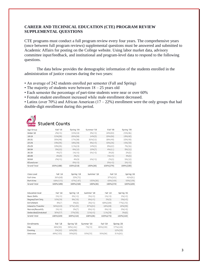## **CAREER AND TECHNICAL EDUCATION (CTE) PROGRAM REVIEW SUPPLEMENTAL QUESTIONS**

CTE programs must conduct a full program review every four years. The comprehensive years (once between full program reviews) supplemental questions must be answered and submitted to Academic Affairs for posting on the College website. Using labor market data, advisory committee input/feedback, and institutional and program-level data to respond to the following questions.

The data below provides the demographic information of the students enrolled in the administration of justice courses during the two years:

- An average of 242 students enrolled per semester (Fall and Spring)
- The majority of students were between  $18 25$  years old
- Each semester the percentage of part-time students were near or over 60%
- Female student enrollment increased while male enrollment decreased.

• Latinx (over 70%) and African American  $(17 – 22%)$  enrollment were the only groups that had double-digit enrollment during this period.



# student Counts

| Under 18<br>$2%(\leq 5)$<br>15%(33)<br>3%(<5)<br>34%(93)<br>21%(46)<br>19%(42)<br>18-19<br>21%(39)<br>26%(56)<br>14% (5)<br>19%(50)<br>20-21<br>25%(48)<br>22%(49)<br>17%(38)<br>$31\%(11)$<br>18%(49)<br>$22 - 24$<br>19%(35)<br>18%(39)<br>$8\% (< 5)$<br>10%(26)<br>15%(33)<br>25-29<br>19%(35)<br>11%(23)<br>14% (5)<br>8%(22)<br>7%(16)<br>30-34<br>5% (10)<br>6% (12)<br>19%(7)<br>4% (11)<br>5% (11)<br>35-39<br>4% (7)<br>$1\% (< 5)$<br>6% (< 5)<br>3% (9)<br>2% (5)<br>3% (6)<br>$40 - 49$<br>4% (8)<br>2% (5)<br>$1\% (< 5)$<br>50-64<br>$2\% (< 5)$<br>4% (9)<br>6% (< 5)<br>2% (5)<br>5% (10)<br>0% (< 5)<br>$0\% (< 5)$<br>65 and over<br>$1\% (< 5)$<br><b>Grand Total</b><br>100%(189)<br>100%(218)<br>100%(270)<br>100%(220)<br>100%(36)<br>Fall '18<br>Fall '19<br>Class Load<br>Spring '19<br>Summer '19<br>36%(68)<br>33%(71)<br>37%(101)<br>Full-time<br>Part-time<br>64%(121)<br>67%(147)<br>100%(36)<br>63%(169)<br><b>Grand Total</b><br>100%(189)<br>100%(218)<br>100%(270)<br>100%(36)<br>Fall '18<br>Fall '19<br><b>Education Goal</b><br>Spring '19<br>Summer '19<br>Spring '20<br><b>Basic Skills</b><br>$1\% (< 5)$<br>$1\% (< 5)$<br>$0\% (< 5)$<br>3%(<5)<br>$1\% (< 5)$<br>9%(19)<br>8%(<5)<br>2% (5)<br>$0\% (< 5)$<br>Degree/Cert Only<br>10% (19)<br>Enrichment<br>3%(<5)<br>68%(184)<br>77%(170)<br>4% (7)<br>4% (8)<br>Intend to Transfer<br>54%(103)<br>57%(125)<br>67%(24)<br>18%(49)<br>18%(39)<br>Retrain/Recertify<br>$0\% (< 5)$<br>$0\% (< 5)$<br>$1\% (< 5)$<br>3% (7)<br>8%(<5)<br>Undecided/Unstated<br>11%(<5)<br>11%(29)<br>3% (6)<br>30%(57)<br>27%(58)<br>100%(270)<br>100%(220)<br>Grand Total<br>100%(189)<br>100%(218)<br>100%(36)<br>Enrollments<br>Fall '18<br>Summer '19<br>Fall '19<br>Spring '19<br>Spring '20<br>46%(93)<br>58%(141)<br>7% (< 5)<br>65%(190)<br>57%(133)<br>Day<br>12% (33)<br>Evening<br>5% (12)<br>16%(39)<br>49%(100)<br>31%(81)<br>Unknown<br>26%(63)<br>93%(33)<br>35%(96) | Age Group | Fall '18 | Spring '19 | Summer '19 | Fall '19 | Spring '20 |  |
|--------------------------------------------------------------------------------------------------------------------------------------------------------------------------------------------------------------------------------------------------------------------------------------------------------------------------------------------------------------------------------------------------------------------------------------------------------------------------------------------------------------------------------------------------------------------------------------------------------------------------------------------------------------------------------------------------------------------------------------------------------------------------------------------------------------------------------------------------------------------------------------------------------------------------------------------------------------------------------------------------------------------------------------------------------------------------------------------------------------------------------------------------------------------------------------------------------------------------------------------------------------------------------------------------------------------------------------------------------------------------------------------------------------------------------------------------------------------------------------------------------------------------------------------------------------------------------------------------------------------------------------------------------------------------------------------------------------------------------------------------------------------------------------------------------------------------------------------------------------------------------------------------------------------------------------------------------------|-----------|----------|------------|------------|----------|------------|--|
| Spring '20<br>41%(91)<br>59%(129)<br>100%(220)                                                                                                                                                                                                                                                                                                                                                                                                                                                                                                                                                                                                                                                                                                                                                                                                                                                                                                                                                                                                                                                                                                                                                                                                                                                                                                                                                                                                                                                                                                                                                                                                                                                                                                                                                                                                                                                                                                               |           |          |            |            |          |            |  |
|                                                                                                                                                                                                                                                                                                                                                                                                                                                                                                                                                                                                                                                                                                                                                                                                                                                                                                                                                                                                                                                                                                                                                                                                                                                                                                                                                                                                                                                                                                                                                                                                                                                                                                                                                                                                                                                                                                                                                              |           |          |            |            |          |            |  |
|                                                                                                                                                                                                                                                                                                                                                                                                                                                                                                                                                                                                                                                                                                                                                                                                                                                                                                                                                                                                                                                                                                                                                                                                                                                                                                                                                                                                                                                                                                                                                                                                                                                                                                                                                                                                                                                                                                                                                              |           |          |            |            |          |            |  |
|                                                                                                                                                                                                                                                                                                                                                                                                                                                                                                                                                                                                                                                                                                                                                                                                                                                                                                                                                                                                                                                                                                                                                                                                                                                                                                                                                                                                                                                                                                                                                                                                                                                                                                                                                                                                                                                                                                                                                              |           |          |            |            |          |            |  |
|                                                                                                                                                                                                                                                                                                                                                                                                                                                                                                                                                                                                                                                                                                                                                                                                                                                                                                                                                                                                                                                                                                                                                                                                                                                                                                                                                                                                                                                                                                                                                                                                                                                                                                                                                                                                                                                                                                                                                              |           |          |            |            |          |            |  |
|                                                                                                                                                                                                                                                                                                                                                                                                                                                                                                                                                                                                                                                                                                                                                                                                                                                                                                                                                                                                                                                                                                                                                                                                                                                                                                                                                                                                                                                                                                                                                                                                                                                                                                                                                                                                                                                                                                                                                              |           |          |            |            |          |            |  |
|                                                                                                                                                                                                                                                                                                                                                                                                                                                                                                                                                                                                                                                                                                                                                                                                                                                                                                                                                                                                                                                                                                                                                                                                                                                                                                                                                                                                                                                                                                                                                                                                                                                                                                                                                                                                                                                                                                                                                              |           |          |            |            |          |            |  |
|                                                                                                                                                                                                                                                                                                                                                                                                                                                                                                                                                                                                                                                                                                                                                                                                                                                                                                                                                                                                                                                                                                                                                                                                                                                                                                                                                                                                                                                                                                                                                                                                                                                                                                                                                                                                                                                                                                                                                              |           |          |            |            |          |            |  |
|                                                                                                                                                                                                                                                                                                                                                                                                                                                                                                                                                                                                                                                                                                                                                                                                                                                                                                                                                                                                                                                                                                                                                                                                                                                                                                                                                                                                                                                                                                                                                                                                                                                                                                                                                                                                                                                                                                                                                              |           |          |            |            |          |            |  |
|                                                                                                                                                                                                                                                                                                                                                                                                                                                                                                                                                                                                                                                                                                                                                                                                                                                                                                                                                                                                                                                                                                                                                                                                                                                                                                                                                                                                                                                                                                                                                                                                                                                                                                                                                                                                                                                                                                                                                              |           |          |            |            |          |            |  |
|                                                                                                                                                                                                                                                                                                                                                                                                                                                                                                                                                                                                                                                                                                                                                                                                                                                                                                                                                                                                                                                                                                                                                                                                                                                                                                                                                                                                                                                                                                                                                                                                                                                                                                                                                                                                                                                                                                                                                              |           |          |            |            |          |            |  |
|                                                                                                                                                                                                                                                                                                                                                                                                                                                                                                                                                                                                                                                                                                                                                                                                                                                                                                                                                                                                                                                                                                                                                                                                                                                                                                                                                                                                                                                                                                                                                                                                                                                                                                                                                                                                                                                                                                                                                              |           |          |            |            |          |            |  |
|                                                                                                                                                                                                                                                                                                                                                                                                                                                                                                                                                                                                                                                                                                                                                                                                                                                                                                                                                                                                                                                                                                                                                                                                                                                                                                                                                                                                                                                                                                                                                                                                                                                                                                                                                                                                                                                                                                                                                              |           |          |            |            |          |            |  |
|                                                                                                                                                                                                                                                                                                                                                                                                                                                                                                                                                                                                                                                                                                                                                                                                                                                                                                                                                                                                                                                                                                                                                                                                                                                                                                                                                                                                                                                                                                                                                                                                                                                                                                                                                                                                                                                                                                                                                              |           |          |            |            |          |            |  |
|                                                                                                                                                                                                                                                                                                                                                                                                                                                                                                                                                                                                                                                                                                                                                                                                                                                                                                                                                                                                                                                                                                                                                                                                                                                                                                                                                                                                                                                                                                                                                                                                                                                                                                                                                                                                                                                                                                                                                              |           |          |            |            |          |            |  |
|                                                                                                                                                                                                                                                                                                                                                                                                                                                                                                                                                                                                                                                                                                                                                                                                                                                                                                                                                                                                                                                                                                                                                                                                                                                                                                                                                                                                                                                                                                                                                                                                                                                                                                                                                                                                                                                                                                                                                              |           |          |            |            |          |            |  |
|                                                                                                                                                                                                                                                                                                                                                                                                                                                                                                                                                                                                                                                                                                                                                                                                                                                                                                                                                                                                                                                                                                                                                                                                                                                                                                                                                                                                                                                                                                                                                                                                                                                                                                                                                                                                                                                                                                                                                              |           |          |            |            |          |            |  |
|                                                                                                                                                                                                                                                                                                                                                                                                                                                                                                                                                                                                                                                                                                                                                                                                                                                                                                                                                                                                                                                                                                                                                                                                                                                                                                                                                                                                                                                                                                                                                                                                                                                                                                                                                                                                                                                                                                                                                              |           |          |            |            |          |            |  |
|                                                                                                                                                                                                                                                                                                                                                                                                                                                                                                                                                                                                                                                                                                                                                                                                                                                                                                                                                                                                                                                                                                                                                                                                                                                                                                                                                                                                                                                                                                                                                                                                                                                                                                                                                                                                                                                                                                                                                              |           |          |            |            |          |            |  |
|                                                                                                                                                                                                                                                                                                                                                                                                                                                                                                                                                                                                                                                                                                                                                                                                                                                                                                                                                                                                                                                                                                                                                                                                                                                                                                                                                                                                                                                                                                                                                                                                                                                                                                                                                                                                                                                                                                                                                              |           |          |            |            |          |            |  |
|                                                                                                                                                                                                                                                                                                                                                                                                                                                                                                                                                                                                                                                                                                                                                                                                                                                                                                                                                                                                                                                                                                                                                                                                                                                                                                                                                                                                                                                                                                                                                                                                                                                                                                                                                                                                                                                                                                                                                              |           |          |            |            |          |            |  |
|                                                                                                                                                                                                                                                                                                                                                                                                                                                                                                                                                                                                                                                                                                                                                                                                                                                                                                                                                                                                                                                                                                                                                                                                                                                                                                                                                                                                                                                                                                                                                                                                                                                                                                                                                                                                                                                                                                                                                              |           |          |            |            |          |            |  |
|                                                                                                                                                                                                                                                                                                                                                                                                                                                                                                                                                                                                                                                                                                                                                                                                                                                                                                                                                                                                                                                                                                                                                                                                                                                                                                                                                                                                                                                                                                                                                                                                                                                                                                                                                                                                                                                                                                                                                              |           |          |            |            |          |            |  |
|                                                                                                                                                                                                                                                                                                                                                                                                                                                                                                                                                                                                                                                                                                                                                                                                                                                                                                                                                                                                                                                                                                                                                                                                                                                                                                                                                                                                                                                                                                                                                                                                                                                                                                                                                                                                                                                                                                                                                              |           |          |            |            |          |            |  |
|                                                                                                                                                                                                                                                                                                                                                                                                                                                                                                                                                                                                                                                                                                                                                                                                                                                                                                                                                                                                                                                                                                                                                                                                                                                                                                                                                                                                                                                                                                                                                                                                                                                                                                                                                                                                                                                                                                                                                              |           |          |            |            |          |            |  |
|                                                                                                                                                                                                                                                                                                                                                                                                                                                                                                                                                                                                                                                                                                                                                                                                                                                                                                                                                                                                                                                                                                                                                                                                                                                                                                                                                                                                                                                                                                                                                                                                                                                                                                                                                                                                                                                                                                                                                              |           |          |            |            |          |            |  |
|                                                                                                                                                                                                                                                                                                                                                                                                                                                                                                                                                                                                                                                                                                                                                                                                                                                                                                                                                                                                                                                                                                                                                                                                                                                                                                                                                                                                                                                                                                                                                                                                                                                                                                                                                                                                                                                                                                                                                              |           |          |            |            |          |            |  |
|                                                                                                                                                                                                                                                                                                                                                                                                                                                                                                                                                                                                                                                                                                                                                                                                                                                                                                                                                                                                                                                                                                                                                                                                                                                                                                                                                                                                                                                                                                                                                                                                                                                                                                                                                                                                                                                                                                                                                              |           |          |            |            |          |            |  |
|                                                                                                                                                                                                                                                                                                                                                                                                                                                                                                                                                                                                                                                                                                                                                                                                                                                                                                                                                                                                                                                                                                                                                                                                                                                                                                                                                                                                                                                                                                                                                                                                                                                                                                                                                                                                                                                                                                                                                              |           |          |            |            |          |            |  |
|                                                                                                                                                                                                                                                                                                                                                                                                                                                                                                                                                                                                                                                                                                                                                                                                                                                                                                                                                                                                                                                                                                                                                                                                                                                                                                                                                                                                                                                                                                                                                                                                                                                                                                                                                                                                                                                                                                                                                              |           |          |            |            |          |            |  |
|                                                                                                                                                                                                                                                                                                                                                                                                                                                                                                                                                                                                                                                                                                                                                                                                                                                                                                                                                                                                                                                                                                                                                                                                                                                                                                                                                                                                                                                                                                                                                                                                                                                                                                                                                                                                                                                                                                                                                              |           |          |            |            |          |            |  |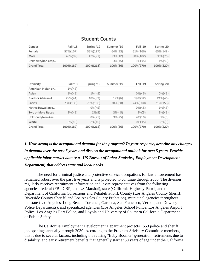| Gender             | Fall 18       | Polind Ta      | Summer 19   | Fall 19       | Spring 20      |
|--------------------|---------------|----------------|-------------|---------------|----------------|
| Female             | 57%(107)      | 58%(127)       | 64%(23)     | 61%(166)      | 65%(142)       |
| Male               | 43%(82)       | 42%(91)        | 33%(12)     | 38%(102)      | 35%(76)        |
| Unknown/non-resp   |               |                | $3\% (< 5)$ | $1\%(\leq 5)$ | $1\%(\leq 5)$  |
| Grand Total        | 100%(189)     | 100%(218)      | 100%(36)    | 100%(270)     | 100%(220)      |
|                    |               |                |             |               |                |
|                    |               |                |             |               |                |
| Ethnicity          | Fall '18      | Spring '19     | Summer '19  | Fall '19      | Spring '20     |
| American Indian or | $1\%(\leq 5)$ |                |             |               |                |
| Asian              | $1\%(\leq 5)$ | $1\%(\leq 5)$  |             | $0\% (< 5)$   | $0\%(\leq 5)$  |
| Black or African A | 22%(41)       | 18%(39)        | 17%(6)      | 19%(52)       | 21%(46)        |
| Latinx             | 73%(138)      | 76%(166)       | 78%(28)     | 74%(200)      | 71%(156)       |
| Native Hawaiian o  |               | $0\% (< 5)$    |             | $0\% (< 5)$   | $1\% (\leq 5)$ |
| Two or More Races  | $2\% (< 5)$   | $2\% (5)$      | 3%(<5)      | 2% (5)        | $2\% (\leq 5)$ |
| Unknown/Non-Res    |               | $0\% (\leq 5)$ | $3\% (< 5)$ | 4%(10)        | 3%(6)          |
| White              | $2\% (< 5)$   | $2\% (< 5)$    |             | $0\% (< 5)$   | $2\% (5)$      |
| Grand Total        | 100%(189)     | 100%(218)      | 100%(36)    | 100%(270)     | 100%(220)      |

# **Student Counts**

 $-$ 

*1. How strong is the occupational demand for the program? In your response, describe any changes in demand over the past 5 years and discuss the occupational outlook for next 5 years. Provide applicable labor market data (e.g., US Bureau of Labor Statistics, Employment Development Department) that address state and local needs.*

The need for criminal justice and protective service occupations for law enforcement has remained robust over the past five years and is projected to continue through 2030. The division regularly receives recruitment information and invite representatives from the following agencies: federal (FBI, CBP, and US Marshal), state (California Highway Patrol, and the Department of California Corrections and Rehabilitation), County (Los Angeles County Sheriff, Riverside County Sheriff, and Los Angeles County Probation), municipal agencies throughout the state (Los Angeles, Long Beach, Torrance, Gardena, San Francisco, Vernon, and Downey Police Departments), and specialized agencies (Los Angeles School Police, Los Angeles Airport Police, Los Angeles Port Police, and Loyola and University of Southern California Department of Public Safety.

The California Employment Development Department projects 1553 police and sheriff job openings annually through 2030. According to the Program Advisory Committee members, this is due to several factors, including the retiring "Baby Boomer" generation, retirements due to disability, and early retirement benefits that generally start at 50 years of age under the California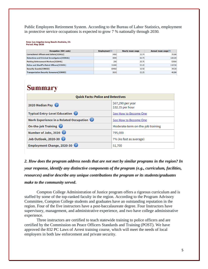Public Employees Retirement System. According to the Bureau of Labor Statistics, employment in protective service occupations is expected to grow 7 % nationally through 2030.

Area: Los Angeles-Long Beach-Anaheim, CA Period: May 2020

| <b>Occupation (SOC code)</b>                      | Employment(1) | <b>Hourly mean wage</b> | Annual mean wage(2) |
|---------------------------------------------------|---------------|-------------------------|---------------------|
| <b>Correctional Officers and Jailers (333012)</b> | 3460          | 33.74                   | 70180               |
| Detectives and Criminal Investigators(333021)     | 3890          | 60.73                   | 126320              |
| Parking Enforcement Workers(333041)               | 290           | 25.75                   | 53560               |
| Police and Sheriff's Patrol Officers(333051)      | 31840         | 53.23                   | 110720              |
| <b>Security Guards (339032)</b>                   | 69460         | 16.50                   | 34320               |
| <b>Transportation Security Screeners (339093)</b> | 2610          | 22.25                   | 46280               |

# **Summary**

| <b>Quick Facts: Police and Detectives</b> |                                       |  |
|-------------------------------------------|---------------------------------------|--|
| 2020 Median Pay                           | \$67,290 per year<br>\$32.35 per hour |  |
| <b>Typical Entry-Level Education</b>      | See How to Become One                 |  |
| Work Experience in a Related Occupation   | See How to Become One                 |  |
| On-the-job Training                       | Moderate-term on-the-job training     |  |
| Number of Jobs, 2020                      | 795,000                               |  |
| Job Outlook, 2020-30                      | 7% (As fast as average)               |  |
| Employment Change, 2020-30                | 51,700                                |  |

*2. How does the program address needs that are not met by similar programs in the region? In your response, identify any distinctive components of the program (e.g., curriculum, facilities, resources) and/or describe any unique contributions the program or its students/graduates make to the community served***.**

Compton College Administration of Justice program offers a rigorous curriculum and is staffed by some of the top-ranked faculty in the region. According to the Program Advisory Committee, Compton College students and graduates have an outstanding reputation in the region. Four of the five instructors have a post-baccalaureate degree. Four Instructors have supervisory, management, and administrative experience, and two have college administrative experience.

Three instructors are certified to teach statewide training to police officers and are certified by the Commission on Peace Officers Standards and Training (POST). We have approved the 832 PC Laws of Arrest training course, which will meet the needs of local employers in both law enforcement and private security.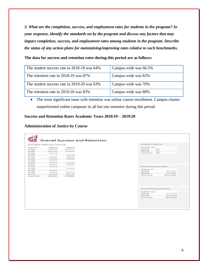*3. What are the completion, success, and employment rates for students in the program? In your response, identify the standards set by the program and discuss any factors that may impact completion, success, and employment rates among students in the program. Describe the status of any action plans for maintaining/improving rates relative to such benchmarks.*

#### **The data for success and retention rates during this period are as follows:**

| The student success rate in 2018-19 was 64% | Campus wide was 66.5% |
|---------------------------------------------|-----------------------|
| The retention rate in 2018-19 was 87%       | Campus wide was 82%   |
| The student success rate in 2019-20 was 63% | Campus wide was 70%   |
| The retention rate in 2019-20 was 83%       | Campus wide was 88%   |

• The most significant issue with retention was online course enrollment. Campus classes outperformed online campuses in all but one semester during this period.

# **Success and Retention Rates Academic Years 2018/19 – 2019/20**

#### **Administration of Justice by Course**

|                    | Success Rate by Course |          | Unique Students               |                        |
|--------------------|------------------------|----------|-------------------------------|------------------------|
| Course ID          | 2018-19                | 2019-20  | Academic Year                 |                        |
| AJ-100             | 5796(154)              | 61%(173) | 2018-19                       | 349                    |
| AJ-103             | 60%(115)               | 70%(181) | 2019-20<br>447                |                        |
| AJ-106             | 77%(13)                |          | <b>Grand Total</b><br>718     |                        |
| AJ-107             |                        | 70%(33)  |                               |                        |
| AJ-111             | 72%(39)                | 66%(35)  |                               |                        |
| $AJ-115$           | 81%(36)                | 72%(36)  |                               |                        |
| AJ-126             | 75%(12)                |          |                               |                        |
| AJ-130             | 81% (16)               | 57%(28)  |                               |                        |
| AJ-131             | 79%(24)                | 67%(24)  |                               |                        |
| AJ-132             | 81% (16)               |          | <b>Overall Success Rate</b>   |                        |
| AJ-134             |                        | 71%(21)  |                               |                        |
| AJ-135             | 73% (15)               |          | Academic Ye                   |                        |
| AJ-150             | 78%(23)                | 41%(71)  | 2018-19                       | 64% (507)              |
| AJ-170             | 34% (44)               | 65%(23)  | 2019-20                       | 63% (625)              |
| <b>Grand Total</b> | 64%(507)               | 63%(625) | <b>Grand Total</b>            | 63% (1132)             |
|                    |                        |          | <b>Overall Retention Rate</b> |                        |
|                    |                        |          |                               |                        |
|                    |                        |          |                               |                        |
|                    |                        |          | Academic Year                 |                        |
|                    |                        |          | 2018-19<br>2019-20            | 87% (507)<br>83% (625) |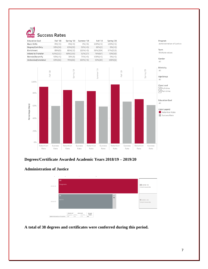



# **Degrees/Certificate Awarded Academic Years 2018/19 – 2019/20**

#### **Administration of Justice**



**A total of 38 degrees and certificates were conferred during this period.**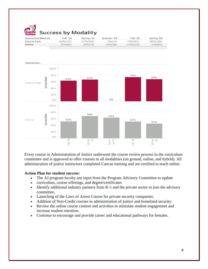

# **Success by Modality**

| <b>Instruction Method</b> | Fall '18 | Spring '19 | Summer '19 | Fall '19 | Spring '20 |
|---------------------------|----------|------------|------------|----------|------------|
| Face to Face              | 63%(150) | 67%(204)   | 0% (< 5)   | 74%(201) | 68%(189)   |
| Online                    | 52%(83)  | 69%(70)    | 63%(38)    | 51%(109) | 45%(85)    |
|                           |          |            |            |          |            |



Every course in Administration of Justice underwent the course review process in the curriculum committee and is approved to offer courses in all modalities (on ground, online, and hybrid). All administration of justice instructors completed Canvas training and are certified to teach online.

#### **Action Plan for student success:**

- The AJ program faculty use input from the Program Advisory Committee to update
- curriculum, course offerings, and degree/certificates
- Identify additional industry partners from K-1 and the private sector to join the advisory committee.
- Launching of the Laws of Arrest Course for private security companies.
- Addition of Non-Credit courses in administration of justice and homeland security.
- Review the online course content and activities to stimulate student engagement and increase student retention.
- Continue to encourage and provide career and educational pathways for females.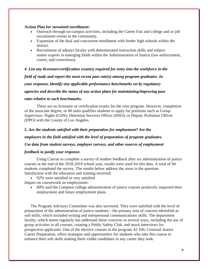#### **Action Plan for sustained enrollment:**

- Outreach through on-campus activities, including the Career Fair and college and or job recruitment events in the community.
- Expansion of the dual and concurrent enrollment with feeder high schools within the district.
- Recruitment of adjunct faculty with demonstrated instruction skills and subject matter experts in emerging fields within the Administration of Justice (law enforcement, courts, and corrections).

*4. List any licensure/certification exam(s) required for entry into the workforce in the field of study and report the most recent pass rate(s) among program graduates. In your response, identify any applicable performance benchmarks set by regulatory agencies and describe the status of any action plans for maintaining/improving pass*

#### *rates relative to such benchmarks.*

There are no licensure or certification exams for the core program. However, completion of the associate degree, or 60 units qualifies students to apply for positions such as Group Supervisor, Nights (GSN); Detention Services Officer (DSO); or Deputy Probation Officer (DPO) with the County of Los Angeles.

## *5. Are the students satisfied with their preparation for employment? Are the*

*employers in the field satisfied with the level of preparation of program graduates.*

#### *Use data from student surveys, employer surveys, and other sources of employment*

#### *feedback to justify your response.*

Using Canvas to complete a survey of student feedback after six administration of justice courses at the end of the 2018-2019 school year, results were used for this data. A total of 94 students completed the survey. The results below address the areas in the question. Satisfaction with the education and training received:

• 92% were satisfied or very satisfied

Impact on coursework on employment:

• 80% said the Compton college administration of justice courses positively impacted their employment and future employment plans.

The Program Advisory Committee was also surveyed. They were satisfied with the level of preparation of the administration of justice students—the primary area of concern identified as soft skills, which included writing and interpersonal communications skills. The department faculty, which meets regularly has addressed these concerns in several ways, including the use of group activities in all courses, creating a Public Safety Club, and mock interviews for prospective applicants. One of the elective courses in the program AJ 106, Criminal Justice Career Preparation, offers strategies and opportunities for students who take this course to enhance their soft skills making them viable candidates in any career they seek.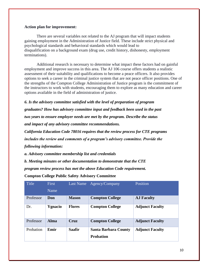#### **Action plan for improvement:**

There are several variables not related to the AJ program that will impact students gaining employment in the Administration of Justice field. These include strict physical and psychological standards and behavioral standards which would lead to disqualification on a background exam (drug use, credit history, dishonesty, employment terminations).

Additional research is necessary to determine what impact these factors had on gainful employment and improve success in this area. The AJ 106 course offers students a realistic assessment of their suitability and qualifications to become a peace officers. It also provides options to seek a career in the criminal justice system that are not peace officer positions. One of the strengths of the Compton College Administration of Justice program is the commitment of the instructors to work with students, encouraging them to explore as many education and career options available in the field of administration of justice.

*6. Is the advisory committee satisfied with the level of preparation of program*

*graduates? How has advisory committee input and feedback been used in the past two years to ensure employer needs are met by the program. Describe the status and impact of any advisory committee recommendations.*

*California Education Code 78016 requires that the review process for CTE programs includes the review and comments of a program's advisory committee. Provide the*

*following information:*

*a. Advisory committee membership list and credentials*

*b. Meeting minutes or other documentation to demonstrate that the CTE*

*program review process has met the above Education Code requirement.*

**Compton College Public Safety Advisory Committee** 

| Title     | <b>First</b> | Last Name     | Agency/Company              | Position               |
|-----------|--------------|---------------|-----------------------------|------------------------|
|           | Name         |               |                             |                        |
| Professor | Don          | <b>Mason</b>  | <b>Compton College</b>      | <b>AJ Faculty</b>      |
| Dr.       | Ygnacio      | <b>Flores</b> | <b>Compton College</b>      | <b>Adjunct Faculty</b> |
| Professor | Alma         | Cruz          | <b>Compton College</b>      | <b>Adjunct Faculty</b> |
| Probation | Emir         | <b>Saafir</b> | <b>Santa Barbara County</b> | <b>Adjunct Faculty</b> |
|           |              |               | <b>Probation</b>            |                        |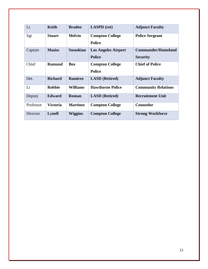| Lt.       | Keith           | <b>Braden</b>    | <b>LASPD</b> (ret)         | <b>Adjunct Faculty</b>     |
|-----------|-----------------|------------------|----------------------------|----------------------------|
| Sgt       | <b>Stuart</b>   | <b>Melvin</b>    | <b>Compton College</b>     | <b>Police Sergeant</b>     |
|           |                 |                  | <b>Police</b>              |                            |
| Captain   | <b>Masiss</b>   | <b>Sossokian</b> | <b>Los Angeles Airport</b> | <b>Commander/Homeland</b>  |
|           |                 |                  | <b>Police</b>              | <b>Security</b>            |
| Chief     | <b>Ramund</b>   | <b>Box</b>       | <b>Compton College</b>     | <b>Chief of Police</b>     |
|           |                 |                  | <b>Police</b>              |                            |
| Det.      | <b>Richard</b>  | <b>Ramirez</b>   | <b>LASD</b> (Retired)      | <b>Adjunct Faculty</b>     |
| Lt        | <b>Robbie</b>   | <b>Williams</b>  | <b>Hawthorne Police</b>    | <b>Community Relations</b> |
| Deputy    | <b>Edward</b>   | Roman            | <b>LASD</b> (Retired)      | <b>Recruitment Unit</b>    |
| Professor | <b>Victoria</b> | <b>Martinez</b>  | <b>Compton College</b>     | <b>Counselor</b>           |
| Director  | <b>Lynell</b>   | <b>Wiggins</b>   | <b>Compton College</b>     | <b>Strong Workforce</b>    |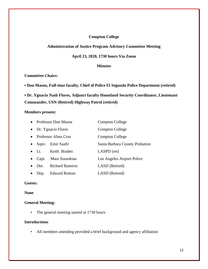# **Compton College**

# **Administration of Justice Program Advisory Committee Meeting**

#### **April 23, 2020, 1730 hours Via Zoom**

#### **Minutes**

# **Committee Chairs:**

**• Don Mason, Full-time faculty, Chief of Police El Segundo Police Department (retired)**

**• Dr. Ygnacio Nash Flores, Adjunct faculty Homeland Security Coordinator, Lieutenant Commander, USN (Retired) Highway Patrol (retired)**

#### **Members present:**

|           |               | • Professor Don Mason  | Compton College                |
|-----------|---------------|------------------------|--------------------------------|
|           |               | • Dr. Ygnacio Flores   | Compton College                |
| $\bullet$ |               | Professor Alma Cruz    | Compton College                |
| $\bullet$ |               | Supv. Emir Saafir      | Santa Barbara County Probation |
|           | $\bullet$ Lt. | Keith Braden           | LASPD (ret)                    |
| $\bullet$ | Capt.         | Mass Sossokian         | Los Angeles Airport Police     |
|           | Det.          | <b>Richard Ramirez</b> | LASD (Retired)                 |
|           | Dep.          | <b>Edward Roman</b>    | LASD (Retired)                 |

## **Guests:**

#### **None**

## **General Meeting:**

• The general meeting started at 1730 hours

#### **Introductions**

• All members attending provided a brief background and agency affiliation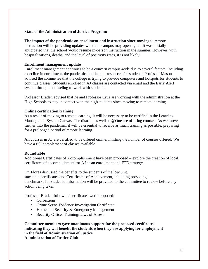#### **State of the Administration of Justice Program:**

**The impact of the pandemic on enrollment and instruction since** moving to remote instruction will be providing updates when the campus may open again. It was initially anticipated that the school would resume in-person instruction in the summer. However, with hospitalizations, deaths, and the level of positivity rates, it is not likely.

#### **Enrollment management update**

Enrollment management continues to be a concern campus-wide due to several factors, including a decline in enrollment, the pandemic, and lack of resources for students. Professor Mason advised the committee that the college is trying to provide computers and hotspots for students to continue classes. Students enrolled in AJ classes are contacted via email and the Early Alert system through counseling to work with students.

Professor Braden advised that he and Professor Cruz are working with the administration at the High Schools to stay in contact with the high students since moving to remote learning.

#### **Online certification training**

As a result of moving to remote learning, it will be necessary to be certified in the Learning Management System Canvas. The district, as well as @One are offering courses. As we move further into the pandemic, it will be essential to receive as much training as possible, preparing for a prolonged period of remote learning.

All courses in AJ are certified to be offered online, limiting the number of courses offered. We have a full complement of classes available.

#### **Roundtable**

Additional Certificates of Accomplishment have been proposed – explore the creation of local certificates of accomplishment for AJ as an enrollment and FTE strategy.

Dr. Flores discussed the benefits to the students of the low unit. stackable certificates and Certificates of Achievement, including providing benchmarks for students. Information will be provided to the committee to review before any action being taken.

Professor Braden following certificates were proposed:

- Corrections
- Crime Scene Evidence Investigation Certificate
- Homeland Security & Emergency Management
- Security Officer Training/Laws of Arrest

**Committee members gave unanimous support for the proposed certificates indicating they will benefit the students when they are applying for employment in the field of Administration of Justice Administration of Justice Club**